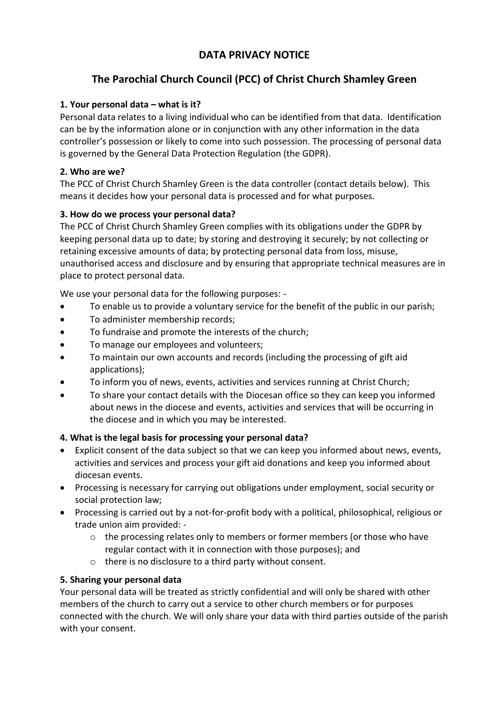# **DATA PRIVACY NOTICE**

# **The Parochial Church Council (PCC) of Christ Church Shamley Green**

## **1. Your personal data – what is it?**

Personal data relates to a living individual who can be identified from that data. Identification can be by the information alone or in conjunction with any other information in the data controller's possession or likely to come into such possession. The processing of personal data is governed by the General Data Protection Regulation (the GDPR).

## **2. Who are we?**

The PCC of Christ Church Shamley Green is the data controller (contact details below). This means it decides how your personal data is processed and for what purposes.

# **3. How do we process your personal data?**

The PCC of Christ Church Shamley Green complies with its obligations under the GDPR by keeping personal data up to date; by storing and destroying it securely; by not collecting or retaining excessive amounts of data; by protecting personal data from loss, misuse, unauthorised access and disclosure and by ensuring that appropriate technical measures are in place to protect personal data.

We use your personal data for the following purposes: -

- To enable us to provide a voluntary service for the benefit of the public in our parish;
- To administer membership records;
- To fundraise and promote the interests of the church;
- To manage our employees and volunteers;
- To maintain our own accounts and records (including the processing of gift aid applications);
- To inform you of news, events, activities and services running at Christ Church;
- To share your contact details with the Diocesan office so they can keep you informed about news in the diocese and events, activities and services that will be occurring in the diocese and in which you may be interested.

# **4. What is the legal basis for processing your personal data?**

- Explicit consent of the data subject so that we can keep you informed about news, events, activities and services and process your gift aid donations and keep you informed about diocesan events.
- Processing is necessary for carrying out obligations under employment, social security or social protection law;
- Processing is carried out by a not-for-profit body with a political, philosophical, religious or trade union aim provided: -
	- $\circ$  the processing relates only to members or former members (or those who have regular contact with it in connection with those purposes); and
	- o there is no disclosure to a third party without consent.

#### **5. Sharing your personal data**

Your personal data will be treated as strictly confidential and will only be shared with other members of the church to carry out a service to other church members or for purposes connected with the church. We will only share your data with third parties outside of the parish with your consent.